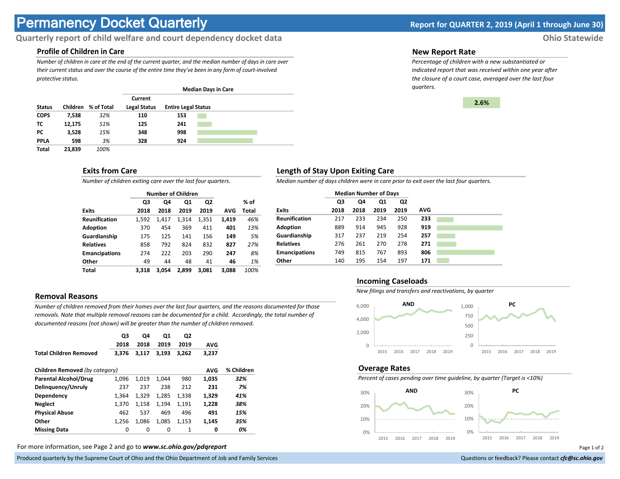# **Permanency Docket Quarterly Report for QUARTER 2, 2019 (April 1 through June 30)**

# **Quarterly report of child welfare and court dependency docket data Ohio Statewide**

## **Profile of Children in Care**

*Number of children in care at the end of the current quarter, and the median number of days in care over their current status and over the course of the entire time they've been in any form of court-involved protective status.*

|               |        |                     |                                | <b>Median Days in Care</b> |  |
|---------------|--------|---------------------|--------------------------------|----------------------------|--|
| <b>Status</b> |        | Children % of Total | Current<br><b>Legal Status</b> | <b>Entire Legal Status</b> |  |
| <b>COPS</b>   | 7,538  | 32%                 | 110                            | 153                        |  |
| тс            | 12,175 | 51%                 | 125                            | 241                        |  |
| PC.           | 3,528  | 15%                 | 348                            | 998                        |  |
| <b>PPLA</b>   | 598    | 3%                  | 328                            | 924                        |  |
| <b>Total</b>  | 23.839 | 100%                |                                |                            |  |

## **Exits from Care**

*Number of children exiting care over the last four quarters.*

|                      |       | <b>Number of Children</b> |       |                |       |       |
|----------------------|-------|---------------------------|-------|----------------|-------|-------|
|                      | Q3    | Q4                        | Q1    | Q <sub>2</sub> |       | % of  |
| <b>Exits</b>         | 2018  | 2018                      | 2019  | 2019           | AVG   | Total |
| <b>Reunification</b> | 1.592 | 1.417                     | 1.314 | 1,351          | 1,419 | 46%   |
| <b>Adoption</b>      | 370   | 454                       | 369   | 411            | 401   | 13%   |
| Guardianship         | 175   | 125                       | 141   | 156            | 149   | 5%    |
| <b>Relatives</b>     | 858   | 792                       | 824   | 832            | 827   | 27%   |
| <b>Emancipations</b> | 274   | 222                       | 203   | 290            | 247   | 8%    |
| Other                | 49    | 44                        | 48    | 41             | 46    | 1%    |
| Total                | 3.318 | 3.054                     | 2.899 | 3.081          | 3.088 | 100%  |

## **Removal Reasons**

*Number of children removed from their homes over the last four quarters, and the reasons documented for those removals. Note that multiple removal reasons can be documented for a child. Accordingly, the total number of documented reasons (not shown) will be greater than the number of children removed.* 

|                                              | Q3    | Q4       | Q1    | Q <sub>2</sub> |            |            |
|----------------------------------------------|-------|----------|-------|----------------|------------|------------|
|                                              | 2018  | 2018     | 2019  | 2019           | <b>AVG</b> |            |
| <b>Total Children Removed</b>                | 3.376 | 3.117    | 3.193 | 3.262          | 3,237      |            |
|                                              |       |          |       |                |            |            |
| Children Removed (by category)<br><b>AVG</b> |       |          |       |                |            | % Children |
| <b>Parental Alcohol/Drug</b>                 | 1,096 | 1.019    | 1.044 | 980            | 1,035      | 32%        |
| Delinguency/Unruly                           | 237   | 237      | 238   | 212            | 231        | 7%         |
| Dependency                                   | 1.364 | 1.329    | 1.285 | 1,338          | 1.329      | 41%        |
| <b>Neglect</b>                               | 1.370 | 1,158    | 1.194 | 1,191          | 1,228      | 38%        |
| <b>Physical Abuse</b>                        | 462   | 537      | 469   | 496            | 491        | 15%        |
| Other                                        | 1.256 | 1.086    | 1,085 | 1.153          | 1.145      | 35%        |
| <b>Missing Data</b>                          | 0     | $\Omega$ | 0     |                | 0          | 0%         |

For more information, see Page 2 and go to *www.sc.ohio.gov/pdqreport* Page 1 of 2

Produced quarterly by the Supreme Court of Ohio and the Ohio Department of Job and Family Services **Department** of *Services* Court of Ohio and the Ohio Department of Job and Family Services **Communist Court of Court of Co** 

#### **New Report Rate**

*Percentage of children with a new substantiated or indicated report that was received within one year after the closure of a court case, averaged over the last four quarters.*



# **Length of Stay Upon Exiting Care**

*Median number of days children were in care prior to exit over the last four quarters.*

|                      | <b>Median Number of Days</b> |      |      |                |            |  |
|----------------------|------------------------------|------|------|----------------|------------|--|
|                      | Q3                           | Q4   | Q1   | Q <sub>2</sub> |            |  |
| <b>Exits</b>         | 2018                         | 2018 | 2019 | 2019           | <b>AVG</b> |  |
| <b>Reunification</b> | 217                          | 233  | 234  | 250            | 233        |  |
| <b>Adoption</b>      | 889                          | 914  | 945  | 928            | 919        |  |
| Guardianship         | 317                          | 237  | 219  | 254            | 257        |  |
| <b>Relatives</b>     | 276                          | 261  | 270  | 278            | 271        |  |
| <b>Emancipations</b> | 749                          | 815  | 767  | 893            | 806        |  |
| Other                | 140                          | 195  | 154  | 197            | 171        |  |

#### **Incoming Caseloads**

*New filings and transfers and reactivations, by quarter*



#### **Overage Rates**

*Percent of cases pending over time guideline, by quarter (Target is <10%)*